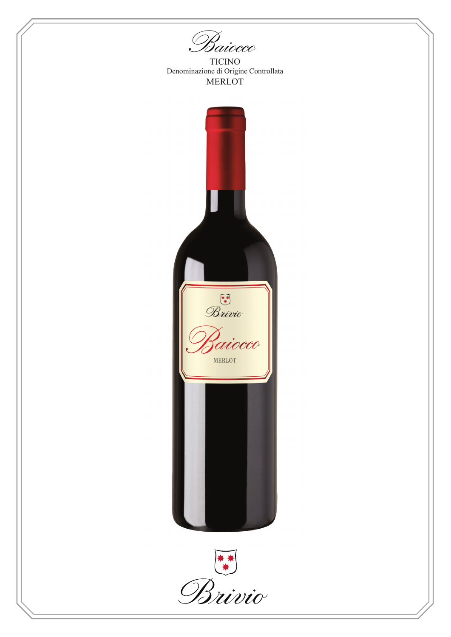Baiocco

**TICINO** Denominazione di Origine Controllata **MERLOT** 



Brivio